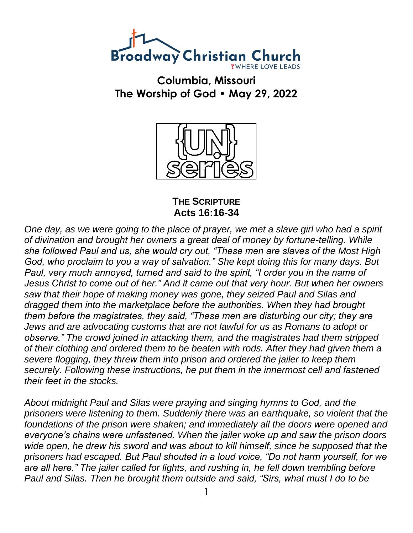

**Columbia, Missouri The Worship of God • May 29, 2022**



**THE SCRIPTURE Acts 16:16-34**

*One day, as we were going to the place of prayer, we met a slave girl who had a spirit of divination and brought her owners a great deal of money by fortune-telling. While she followed Paul and us, she would cry out, "These men are slaves of the Most High God, who proclaim to you a way of salvation." She kept doing this for many days. But Paul, very much annoyed, turned and said to the spirit, "I order you in the name of Jesus Christ to come out of her." And it came out that very hour. But when her owners saw that their hope of making money was gone, they seized Paul and Silas and dragged them into the marketplace before the authorities. When they had brought them before the magistrates, they said, "These men are disturbing our city; they are Jews and are advocating customs that are not lawful for us as Romans to adopt or observe." The crowd joined in attacking them, and the magistrates had them stripped of their clothing and ordered them to be beaten with rods. After they had given them a severe flogging, they threw them into prison and ordered the jailer to keep them securely. Following these instructions, he put them in the innermost cell and fastened their feet in the stocks.*

*About midnight Paul and Silas were praying and singing hymns to God, and the prisoners were listening to them. Suddenly there was an earthquake, so violent that the foundations of the prison were shaken; and immediately all the doors were opened and everyone's chains were unfastened. When the jailer woke up and saw the prison doors wide open, he drew his sword and was about to kill himself, since he supposed that the prisoners had escaped. But Paul shouted in a loud voice, "Do not harm yourself, for we are all here." The jailer called for lights, and rushing in, he fell down trembling before Paul and Silas. Then he brought them outside and said, "Sirs, what must I do to be*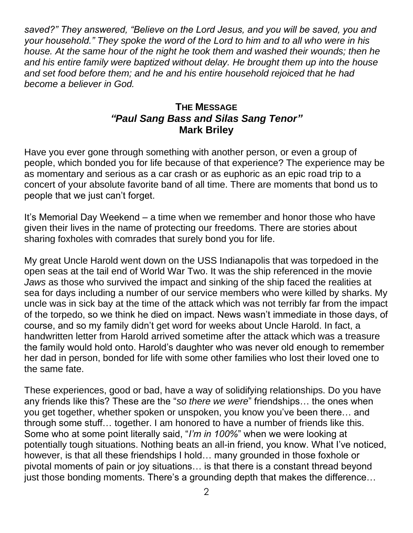*saved?" They answered, "Believe on the Lord Jesus, and you will be saved, you and your household." They spoke the word of the Lord to him and to all who were in his house. At the same hour of the night he took them and washed their wounds; then he and his entire family were baptized without delay. He brought them up into the house and set food before them; and he and his entire household rejoiced that he had become a believer in God.*

## **THE MESSAGE** *"Paul Sang Bass and Silas Sang Tenor"* **Mark Briley**

Have you ever gone through something with another person, or even a group of people, which bonded you for life because of that experience? The experience may be as momentary and serious as a car crash or as euphoric as an epic road trip to a concert of your absolute favorite band of all time. There are moments that bond us to people that we just can't forget.

It's Memorial Day Weekend – a time when we remember and honor those who have given their lives in the name of protecting our freedoms. There are stories about sharing foxholes with comrades that surely bond you for life.

My great Uncle Harold went down on the USS Indianapolis that was torpedoed in the open seas at the tail end of World War Two. It was the ship referenced in the movie *Jaws* as those who survived the impact and sinking of the ship faced the realities at sea for days including a number of our service members who were killed by sharks. My uncle was in sick bay at the time of the attack which was not terribly far from the impact of the torpedo, so we think he died on impact. News wasn't immediate in those days, of course, and so my family didn't get word for weeks about Uncle Harold. In fact, a handwritten letter from Harold arrived sometime after the attack which was a treasure the family would hold onto. Harold's daughter who was never old enough to remember her dad in person, bonded for life with some other families who lost their loved one to the same fate.

These experiences, good or bad, have a way of solidifying relationships. Do you have any friends like this? These are the "*so there we were*" friendships… the ones when you get together, whether spoken or unspoken, you know you've been there… and through some stuff… together. I am honored to have a number of friends like this. Some who at some point literally said, "*I'm in 100%*" when we were looking at potentially tough situations. Nothing beats an all-in friend, you know. What I've noticed, however, is that all these friendships I hold… many grounded in those foxhole or pivotal moments of pain or joy situations… is that there is a constant thread beyond just those bonding moments. There's a grounding depth that makes the difference…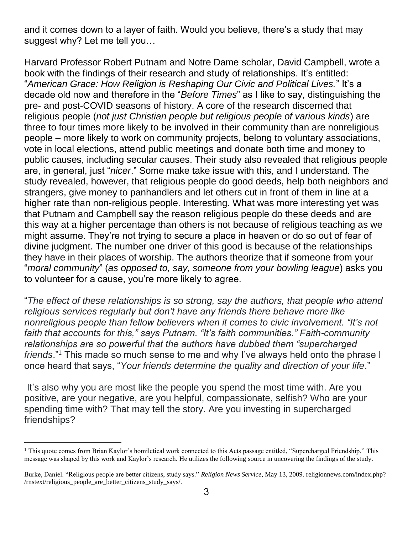and it comes down to a layer of faith. Would you believe, there's a study that may suggest why? Let me tell you…

Harvard Professor Robert Putnam and Notre Dame scholar, David Campbell, wrote a book with the findings of their research and study of relationships. It's entitled: "*American Grace: How Religion is Reshaping Our Civic and Political Lives.*" It's a decade old now and therefore in the "*Before Times*" as I like to say, distinguishing the pre- and post-COVID seasons of history. A core of the research discerned that religious people (*not just Christian people but religious people of various kinds*) are three to four times more likely to be involved in their community than are nonreligious people – more likely to work on community projects, belong to voluntary associations, vote in local elections, attend public meetings and donate both time and money to public causes, including secular causes. Their study also revealed that religious people are, in general, just "*nicer*." Some make take issue with this, and I understand. The study revealed, however, that religious people do good deeds, help both neighbors and strangers, give money to panhandlers and let others cut in front of them in line at a higher rate than non-religious people. Interesting. What was more interesting yet was that Putnam and Campbell say the reason religious people do these deeds and are this way at a higher percentage than others is not because of religious teaching as we might assume. They're not trying to secure a place in heaven or do so out of fear of divine judgment. The number one driver of this good is because of the relationships they have in their places of worship. The authors theorize that if someone from your "*moral community*" (*as opposed to, say, someone from your bowling league*) asks you to volunteer for a cause, you're more likely to agree.

"*The effect of these relationships is so strong, say the authors, that people who attend religious services regularly but don't have any friends there behave more like nonreligious people than fellow believers when it comes to civic involvement. "It's not faith that accounts for this," says Putnam. "It's faith communities." Faith-community relationships are so powerful that the authors have dubbed them "supercharged friends*."<sup>1</sup> This made so much sense to me and why I've always held onto the phrase I once heard that says, "*Your friends determine the quality and direction of your life*."

It's also why you are most like the people you spend the most time with. Are you positive, are your negative, are you helpful, compassionate, selfish? Who are your spending time with? That may tell the story. Are you investing in supercharged friendships?

<sup>&</sup>lt;sup>1</sup> This quote comes from Brian Kaylor's homiletical work connected to this Acts passage entitled, "Supercharged Friendship." This message was shaped by this work and Kaylor's research. He utilizes the following source in uncovering the findings of the study.

Burke, Daniel. "Religious people are better citizens, study says." *Religion News Service*, May 13, 2009. religionnews.com/index.php? /rnstext/religious\_people\_are\_better\_citizens\_study\_says/.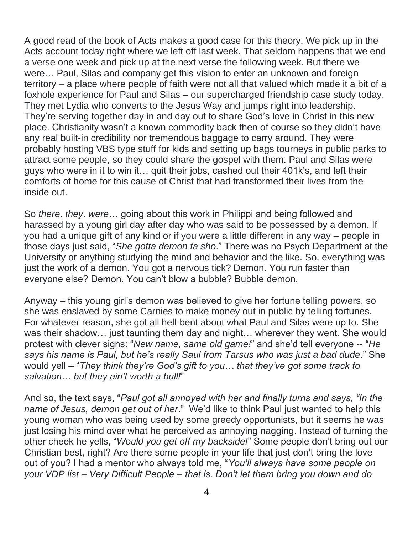A good read of the book of Acts makes a good case for this theory. We pick up in the Acts account today right where we left off last week. That seldom happens that we end a verse one week and pick up at the next verse the following week. But there we were… Paul, Silas and company get this vision to enter an unknown and foreign territory – a place where people of faith were not all that valued which made it a bit of a foxhole experience for Paul and Silas – our supercharged friendship case study today. They met Lydia who converts to the Jesus Way and jumps right into leadership. They're serving together day in and day out to share God's love in Christ in this new place. Christianity wasn't a known commodity back then of course so they didn't have any real built-in credibility nor tremendous baggage to carry around. They were probably hosting VBS type stuff for kids and setting up bags tourneys in public parks to attract some people, so they could share the gospel with them. Paul and Silas were guys who were in it to win it… quit their jobs, cashed out their 401k's, and left their comforts of home for this cause of Christ that had transformed their lives from the inside out.

So *there*. *they*. *were*… going about this work in Philippi and being followed and harassed by a young girl day after day who was said to be possessed by a demon. If you had a unique gift of any kind or if you were a little different in any way – people in those days just said, "*She gotta demon fa sho*." There was no Psych Department at the University or anything studying the mind and behavior and the like. So, everything was just the work of a demon. You got a nervous tick? Demon. You run faster than everyone else? Demon. You can't blow a bubble? Bubble demon.

Anyway – this young girl's demon was believed to give her fortune telling powers, so she was enslaved by some Carnies to make money out in public by telling fortunes. For whatever reason, she got all hell-bent about what Paul and Silas were up to. She was their shadow… just taunting them day and night… wherever they went. She would protest with clever signs: "*New name, same old game!*" and she'd tell everyone -- "*He says his name is Paul, but he's really Saul from Tarsus who was just a bad dude*." She would yell – "*They think they're God's gift to you… that they've got some track to salvation… but they ain't worth a bull!*"

And so, the text says, "*Paul got all annoyed with her and finally turns and says, "In the name of Jesus, demon get out of her*." We'd like to think Paul just wanted to help this young woman who was being used by some greedy opportunists, but it seems he was just losing his mind over what he perceived as annoying nagging. Instead of turning the other cheek he yells, "*Would you get off my backside!*" Some people don't bring out our Christian best, right? Are there some people in your life that just don't bring the love out of you? I had a mentor who always told me, "*You'll always have some people on your VDP list – Very Difficult People – that is. Don't let them bring you down and do*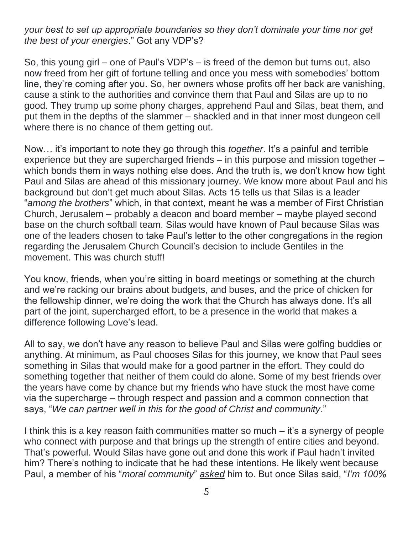*your best to set up appropriate boundaries so they don't dominate your time nor get the best of your energies*." Got any VDP's?

So, this young girl – one of Paul's VDP's – is freed of the demon but turns out, also now freed from her gift of fortune telling and once you mess with somebodies' bottom line, they're coming after you. So, her owners whose profits off her back are vanishing, cause a stink to the authorities and convince them that Paul and Silas are up to no good. They trump up some phony charges, apprehend Paul and Silas, beat them, and put them in the depths of the slammer – shackled and in that inner most dungeon cell where there is no chance of them getting out.

Now… it's important to note they go through this *together*. It's a painful and terrible experience but they are supercharged friends – in this purpose and mission together – which bonds them in ways nothing else does. And the truth is, we don't know how tight Paul and Silas are ahead of this missionary journey. We know more about Paul and his background but don't get much about Silas. Acts 15 tells us that Silas is a leader "*among the brothers*" which, in that context, meant he was a member of First Christian Church, Jerusalem – probably a deacon and board member – maybe played second base on the church softball team. Silas would have known of Paul because Silas was one of the leaders chosen to take Paul's letter to the other congregations in the region regarding the Jerusalem Church Council's decision to include Gentiles in the movement. This was church stuff!

You know, friends, when you're sitting in board meetings or something at the church and we're racking our brains about budgets, and buses, and the price of chicken for the fellowship dinner, we're doing the work that the Church has always done. It's all part of the joint, supercharged effort, to be a presence in the world that makes a difference following Love's lead.

All to say, we don't have any reason to believe Paul and Silas were golfing buddies or anything. At minimum, as Paul chooses Silas for this journey, we know that Paul sees something in Silas that would make for a good partner in the effort. They could do something together that neither of them could do alone. Some of my best friends over the years have come by chance but my friends who have stuck the most have come via the supercharge – through respect and passion and a common connection that says, "*We can partner well in this for the good of Christ and community*."

I think this is a key reason faith communities matter so much – it's a synergy of people who connect with purpose and that brings up the strength of entire cities and beyond. That's powerful. Would Silas have gone out and done this work if Paul hadn't invited him? There's nothing to indicate that he had these intentions. He likely went because Paul, a member of his "*moral community*" *asked* him to. But once Silas said, "*I'm 100%*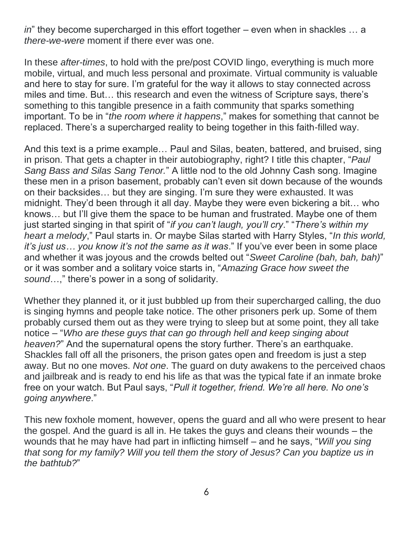*in*" they become supercharged in this effort together – even when in shackles … a *there-we-were* moment if there ever was one.

In these *after-times*, to hold with the pre/post COVID lingo, everything is much more mobile, virtual, and much less personal and proximate. Virtual community is valuable and here to stay for sure. I'm grateful for the way it allows to stay connected across miles and time. But… this research and even the witness of Scripture says, there's something to this tangible presence in a faith community that sparks something important. To be in "*the room where it happens*," makes for something that cannot be replaced. There's a supercharged reality to being together in this faith-filled way.

And this text is a prime example… Paul and Silas, beaten, battered, and bruised, sing in prison. That gets a chapter in their autobiography, right? I title this chapter, "*Paul Sang Bass and Silas Sang Tenor.*" A little nod to the old Johnny Cash song. Imagine these men in a prison basement, probably can't even sit down because of the wounds on their backsides… but they are singing. I'm sure they were exhausted. It was midnight. They'd been through it all day. Maybe they were even bickering a bit… who knows… but I'll give them the space to be human and frustrated. Maybe one of them just started singing in that spirit of "*if you can't laugh, you'll cry*." "*There's within my heart a melody*," Paul starts in. Or maybe Silas started with Harry Styles, "*In this world, it's just us… you know it's not the same as it was*." If you've ever been in some place and whether it was joyous and the crowds belted out "*Sweet Caroline (bah, bah, bah)*" or it was somber and a solitary voice starts in, "*Amazing Grace how sweet the sound*…," there's power in a song of solidarity.

Whether they planned it, or it just bubbled up from their supercharged calling, the duo is singing hymns and people take notice. The other prisoners perk up. Some of them probably cursed them out as they were trying to sleep but at some point, they all take notice – "*Who are these guys that can go through hell and keep singing about heaven?*" And the supernatural opens the story further. There's an earthquake. Shackles fall off all the prisoners, the prison gates open and freedom is just a step away. But no one moves. *Not one*. The guard on duty awakens to the perceived chaos and jailbreak and is ready to end his life as that was the typical fate if an inmate broke free on your watch. But Paul says, "*Pull it together, friend. We're all here. No one's going anywhere*."

This new foxhole moment, however, opens the guard and all who were present to hear the gospel. And the guard is all in. He takes the guys and cleans their wounds – the wounds that he may have had part in inflicting himself – and he says, "*Will you sing that song for my family? Will you tell them the story of Jesus? Can you baptize us in the bathtub?*"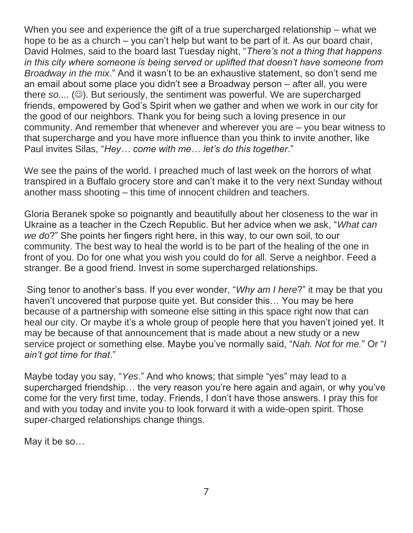When you see and experience the gift of a true supercharged relationship – what we hope to be as a church – you can't help but want to be part of it. As our board chair, David Holmes, said to the board last Tuesday night, "*There's not a thing that happens in this city where someone is being served or uplifted that doesn't have someone from Broadway in the mix*." And it wasn't to be an exhaustive statement, so don't send me an email about some place you didn't see a Broadway person – after all, you were there *so*.... (☺). But seriously, the sentiment was powerful. We are supercharged friends, empowered by God's Spirit when we gather and when we work in our city for the good of our neighbors. Thank you for being such a loving presence in our community. And remember that whenever and wherever you are – you bear witness to that supercharge and you have more influence than you think to invite another, like Paul invites Silas, "*Hey… come with me… let's do this together*."

We see the pains of the world. I preached much of last week on the horrors of what transpired in a Buffalo grocery store and can't make it to the very next Sunday without another mass shooting – this time of innocent children and teachers.

Gloria Beranek spoke so poignantly and beautifully about her closeness to the war in Ukraine as a teacher in the Czech Republic. But her advice when we ask, "*What can we do*?" She points her fingers right here, in this way, to our own soil, to our community. The best way to heal the world is to be part of the healing of the one in front of you. Do for one what you wish you could do for all. Serve a neighbor. Feed a stranger. Be a good friend. Invest in some supercharged relationships.

Sing tenor to another's bass. If you ever wonder, "*Why am I here*?" it may be that you haven't uncovered that purpose quite yet. But consider this… You may be here because of a partnership with someone else sitting in this space right now that can heal our city. Or maybe it's a whole group of people here that you haven't joined yet. It may be because of that announcement that is made about a new study or a new service project or something else. Maybe you've normally said, "*Nah. Not for me.*" Or "*I ain't got time for that*."

Maybe today you say, "*Yes*." And who knows; that simple "yes" may lead to a supercharged friendship… the very reason you're here again and again, or why you've come for the very first time, today. Friends, I don't have those answers. I pray this for and with you today and invite you to look forward it with a wide-open spirit. Those super-charged relationships change things.

May it be so…